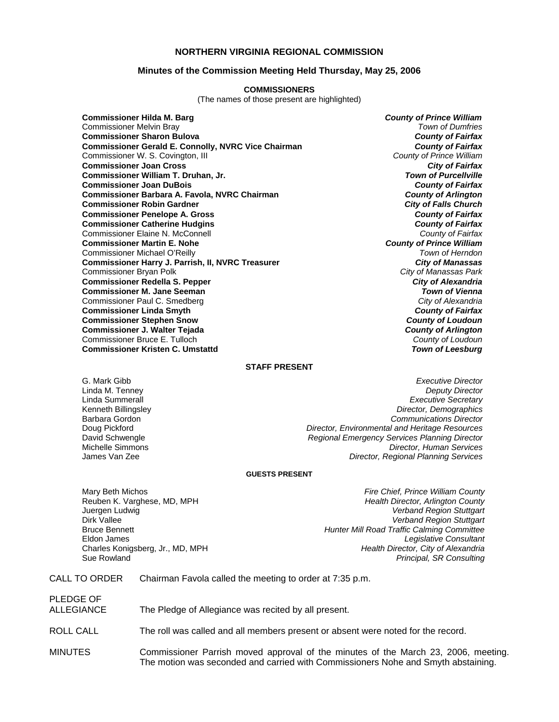# **NORTHERN VIRGINIA REGIONAL COMMISSION**

## **Minutes of the Commission Meeting Held Thursday, May 25, 2006**

#### **COMMISSIONERS**

(The names of those present are highlighted)

**Commissioner Hilda M. Barg** *County of Prince William* Commissioner Melvin Bray *Town of Dumfries* **Commissioner Sharon Bulova** *County of Fairfax* **Commissioner Gerald E. Connolly, NVRC Vice Chairman** *County of Fairfax***<br>Commissioner W. S. Covington, III <b>***County of Prince William* Commissioner W. S. Covington, III *County of Prince William* **Commissioner Joan Cross Commissioner William T. Druhan, Jr.** *Town of Purcellville* **Commissioner Joan DuBois** *County of Fairfax* **Commissioner Barbara A. Favola, NVRC Chairman** *County of Arlington* **Commissioner Robin Gardner** *City of Falls Church* **Commissioner Penelope A. Gross** *County of Fairfax* **Commissioner Catherine Hudgins** *County of Fairfax* Commissioner Elaine N. McConnell *County of Fairfax* **Commissioner Martin E. Nohe** *County of Prince William* Commissioner Michael O'Reilly *Town of Herndon* **Commissioner Harry J. Parrish, II, NVRC Treasurer** *City of Manassas* Commissioner Bryan Polk *City of Manassas Park* **Commissioner Redella S. Pepper** *City of Alexandria* **Commissioner M. Jane Seeman** *Town of Vienna* Commissioner Paul C. Smedberg *City of Alexandria* **Commissioner Linda Smyth Commissioner Stephen Snow** *County of Loudoun* **Commissioner J. Walter Tejada** *County of Arlington* Commissioner Bruce E. Tulloch *County of Loudoun* **Commissioner Kristen C. Umstattd** *Town of Leesburg*

### **STAFF PRESENT**

G. Mark Gibb *Executive Director* **Deputy Director** Linda Summerall *Executive Secretary* Kenneth Billingsley *Director, Demographics* Barbara Gordon *Communications Director* Doug Pickford *Director, Environmental and Heritage Resources* David Schwengle *Regional Emergency Services Planning Director* Michelle Simmons *Director, Human Services* **Director, Regional Planning Services** 

#### **GUESTS PRESENT**

Charles Konigsberg, Jr., MD, MPH *Health Director, City of Alexandria*

Mary Beth Michos *Fire Chief, Prince William County* Reuben K. Varghese, MD, MPH *Health Director, Arlington County* **Verband Region Stuttgart** Dirk Vallee *Verband Region Stuttgart* Bruce Bennett *Hunter Mill Road Traffic Calming Committee* Eldon James *Legislative Consultant* Sue Rowland *Principal, SR Consulting*

# CALL TO ORDER Chairman Favola called the meeting to order at 7:35 p.m.

| PLEDGE OF<br>ALLEGIANCE | The Pledge of Allegiance was recited by all present.                             |
|-------------------------|----------------------------------------------------------------------------------|
| ROLL CALL               | The roll was called and all members present or absent were noted for the record. |

MINUTES Commissioner Parrish moved approval of the minutes of the March 23, 2006, meeting. The motion was seconded and carried with Commissioners Nohe and Smyth abstaining.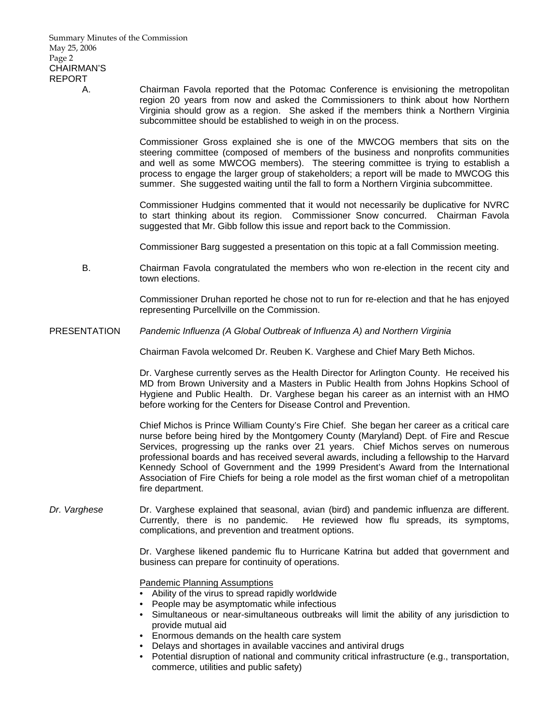A. Chairman Favola reported that the Potomac Conference is envisioning the metropolitan region 20 years from now and asked the Commissioners to think about how Northern Virginia should grow as a region. She asked if the members think a Northern Virginia subcommittee should be established to weigh in on the process.

> Commissioner Gross explained she is one of the MWCOG members that sits on the steering committee (composed of members of the business and nonprofits communities and well as some MWCOG members). The steering committee is trying to establish a process to engage the larger group of stakeholders; a report will be made to MWCOG this summer. She suggested waiting until the fall to form a Northern Virginia subcommittee.

> Commissioner Hudgins commented that it would not necessarily be duplicative for NVRC to start thinking about its region. Commissioner Snow concurred. Chairman Favola suggested that Mr. Gibb follow this issue and report back to the Commission.

Commissioner Barg suggested a presentation on this topic at a fall Commission meeting.

 B. Chairman Favola congratulated the members who won re-election in the recent city and town elections.

> Commissioner Druhan reported he chose not to run for re-election and that he has enjoyed representing Purcellville on the Commission.

PRESENTATION *Pandemic Influenza (A Global Outbreak of Influenza A) and Northern Virginia*

Chairman Favola welcomed Dr. Reuben K. Varghese and Chief Mary Beth Michos.

Dr. Varghese currently serves as the Health Director for Arlington County. He received his MD from Brown University and a Masters in Public Health from Johns Hopkins School of Hygiene and Public Health. Dr. Varghese began his career as an internist with an HMO before working for the Centers for Disease Control and Prevention.

Chief Michos is Prince William County's Fire Chief. She began her career as a critical care nurse before being hired by the Montgomery County (Maryland) Dept. of Fire and Rescue Services, progressing up the ranks over 21 years. Chief Michos serves on numerous professional boards and has received several awards, including a fellowship to the Harvard Kennedy School of Government and the 1999 President's Award from the International Association of Fire Chiefs for being a role model as the first woman chief of a metropolitan fire department.

*Dr. Varghese* Dr. Varghese explained that seasonal, avian (bird) and pandemic influenza are different. Currently, there is no pandemic. He reviewed how flu spreads, its symptoms, complications, and prevention and treatment options.

> Dr. Varghese likened pandemic flu to Hurricane Katrina but added that government and business can prepare for continuity of operations.

Pandemic Planning Assumptions

- Ability of the virus to spread rapidly worldwide
- People may be asymptomatic while infectious
- Simultaneous or near-simultaneous outbreaks will limit the ability of any jurisdiction to provide mutual aid
- Enormous demands on the health care system
- Delays and shortages in available vaccines and antiviral drugs
- Potential disruption of national and community critical infrastructure (e.g., transportation, commerce, utilities and public safety)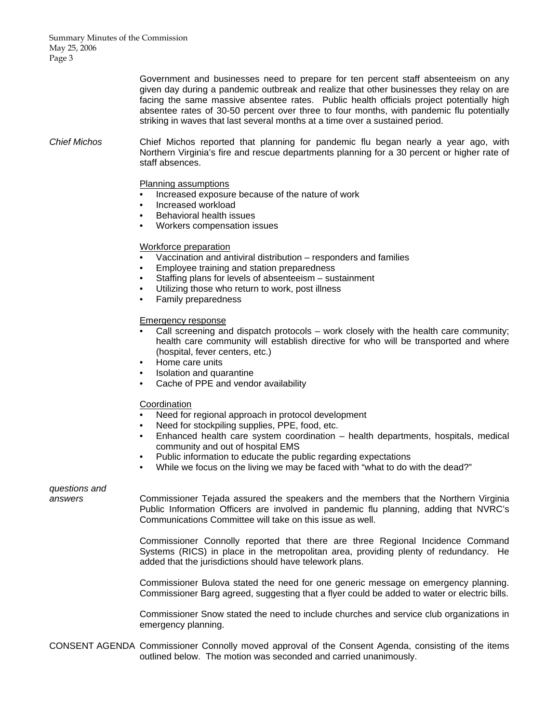Summary Minutes of the Commission May 25, 2006 Page 3

> Government and businesses need to prepare for ten percent staff absenteeism on any given day during a pandemic outbreak and realize that other businesses they relay on are facing the same massive absentee rates. Public health officials project potentially high absentee rates of 30-50 percent over three to four months, with pandemic flu potentially striking in waves that last several months at a time over a sustained period.

*Chief Michos* Chief Michos reported that planning for pandemic flu began nearly a year ago, with Northern Virginia's fire and rescue departments planning for a 30 percent or higher rate of staff absences.

#### Planning assumptions

- Increased exposure because of the nature of work
- Increased workload
- Behavioral health issues
- Workers compensation issues

#### Workforce preparation

- Vaccination and antiviral distribution responders and families
- Employee training and station preparedness
- Staffing plans for levels of absenteeism sustainment
- Utilizing those who return to work, post illness
- Family preparedness

#### Emergency response

- Call screening and dispatch protocols work closely with the health care community; health care community will establish directive for who will be transported and where (hospital, fever centers, etc.)
- Home care units
- Isolation and quarantine
- Cache of PPE and vendor availability

#### Coordination

- Need for regional approach in protocol development
- Need for stockpiling supplies, PPE, food, etc.
- Enhanced health care system coordination health departments, hospitals, medical community and out of hospital EMS
- Public information to educate the public regarding expectations
- While we focus on the living we may be faced with "what to do with the dead?"

# *questions and*

*answers* Commissioner Tejada assured the speakers and the members that the Northern Virginia Public Information Officers are involved in pandemic flu planning, adding that NVRC's Communications Committee will take on this issue as well.

> Commissioner Connolly reported that there are three Regional Incidence Command Systems (RICS) in place in the metropolitan area, providing plenty of redundancy. He added that the jurisdictions should have telework plans.

> Commissioner Bulova stated the need for one generic message on emergency planning. Commissioner Barg agreed, suggesting that a flyer could be added to water or electric bills.

> Commissioner Snow stated the need to include churches and service club organizations in emergency planning.

# CONSENT AGENDA Commissioner Connolly moved approval of the Consent Agenda, consisting of the items outlined below. The motion was seconded and carried unanimously.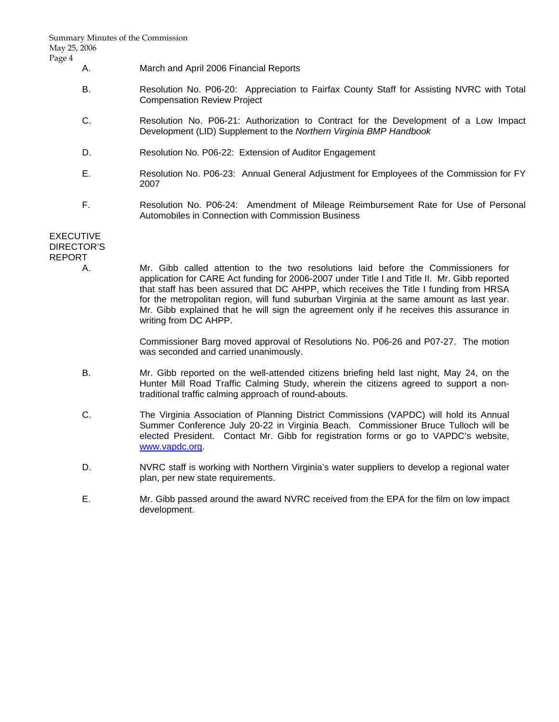- A. March and April 2006 Financial Reports
- B. Resolution No. P06-20: Appreciation to Fairfax County Staff for Assisting NVRC with Total Compensation Review Project
- C. Resolution No. P06-21: Authorization to Contract for the Development of a Low Impact Development (LID) Supplement to the *Northern Virginia BMP Handbook*
- D. Resolution No. P06-22: Extension of Auditor Engagement
- E. Resolution No. P06-23: Annual General Adjustment for Employees of the Commission for FY 2007
- F. Resolution No. P06-24: Amendment of Mileage Reimbursement Rate for Use of Personal Automobiles in Connection with Commission Business

# EXECUTIVE DIRECTOR'S REPORT

 A. Mr. Gibb called attention to the two resolutions laid before the Commissioners for application for CARE Act funding for 2006-2007 under Title I and Title II. Mr. Gibb reported that staff has been assured that DC AHPP, which receives the Title I funding from HRSA for the metropolitan region, will fund suburban Virginia at the same amount as last year. Mr. Gibb explained that he will sign the agreement only if he receives this assurance in writing from DC AHPP.

> Commissioner Barg moved approval of Resolutions No. P06-26 and P07-27. The motion was seconded and carried unanimously.

- B. Mr. Gibb reported on the well-attended citizens briefing held last night, May 24, on the Hunter Mill Road Traffic Calming Study, wherein the citizens agreed to support a nontraditional traffic calming approach of round-abouts.
- C. The Virginia Association of Planning District Commissions (VAPDC) will hold its Annual Summer Conference July 20-22 in Virginia Beach. Commissioner Bruce Tulloch will be elected President. Contact Mr. Gibb for registration forms or go to VAPDC's website, www.vapdc.org.
- D. NVRC staff is working with Northern Virginia's water suppliers to develop a regional water plan, per new state requirements.
- E. Mr. Gibb passed around the award NVRC received from the EPA for the film on low impact development.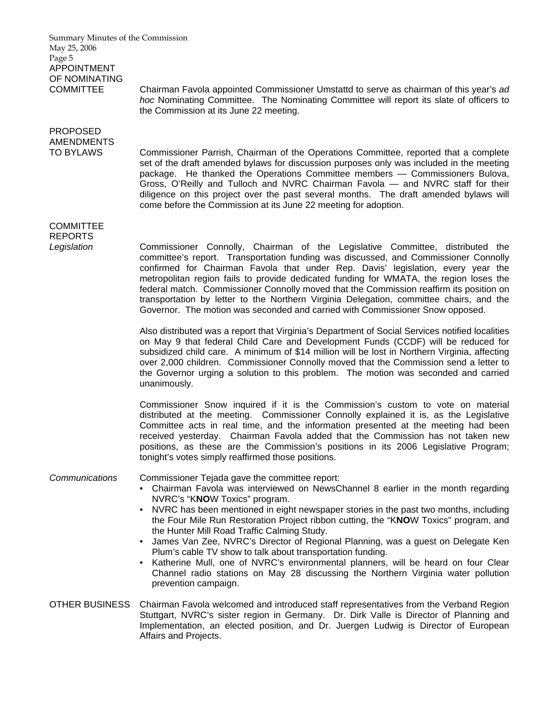Summary Minutes of the Commission May 25, 2006 Page 5 APPOINTMENT OF NOMINATING COMMITTEE Chairman Favola appointed Commissioner Umstattd to serve as chairman of this year's *ad hoc* Nominating Committee. The Nominating Committee will report its slate of officers to the Commission at its June 22 meeting. PROPOSED AMENDMENTS TO BYLAWS Commissioner Parrish, Chairman of the Operations Committee, reported that a complete set of the draft amended bylaws for discussion purposes only was included in the meeting package. He thanked the Operations Committee members — Commissioners Bulova, Gross, O'Reilly and Tulloch and NVRC Chairman Favola — and NVRC staff for their diligence on this project over the past several months. The draft amended bylaws will come before the Commission at its June 22 meeting for adoption. **COMMITTEE** REPORTS *Legislation* Commissioner Connolly, Chairman of the Legislative Committee, distributed the committee's report. Transportation funding was discussed, and Commissioner Connolly confirmed for Chairman Favola that under Rep. Davis' legislation, every year the metropolitan region fails to provide dedicated funding for WMATA, the region loses the federal match. Commissioner Connolly moved that the Commission reaffirm its position on transportation by letter to the Northern Virginia Delegation, committee chairs, and the Governor. The motion was seconded and carried with Commissioner Snow opposed. Also distributed was a report that Virginia's Department of Social Services notified localities on May 9 that federal Child Care and Development Funds (CCDF) will be reduced for subsidized child care. A minimum of \$14 million will be lost in Northern Virginia, affecting over 2,000 children. Commissioner Connolly moved that the Commission send a letter to the Governor urging a solution to this problem. The motion was seconded and carried unanimously. Commissioner Snow inquired if it is the Commission's custom to vote on material distributed at the meeting. Commissioner Connolly explained it is, as the Legislative Committee acts in real time, and the information presented at the meeting had been received yesterday. Chairman Favola added that the Commission has not taken new positions, as these are the Commission's positions in its 2006 Legislative Program; tonight's votes simply reaffirmed those positions. *Communications* Commissioner Tejada gave the committee report: • Chairman Favola was interviewed on NewsChannel 8 earlier in the month regarding NVRC's "K**NO**W Toxics" program. • NVRC has been mentioned in eight newspaper stories in the past two months, including the Four Mile Run Restoration Project ribbon cutting, the "K**NO**W Toxics" program, and the Hunter Mill Road Traffic Calming Study. • James Van Zee, NVRC's Director of Regional Planning, was a guest on Delegate Ken Plum's cable TV show to talk about transportation funding. • Katherine Mull, one of NVRC's environmental planners, will be heard on four Clear Channel radio stations on May 28 discussing the Northern Virginia water pollution prevention campaign. OTHER BUSINESS Chairman Favola welcomed and introduced staff representatives from the Verband Region Stuttgart, NVRC's sister region in Germany. Dr. Dirk Valle is Director of Planning and Implementation, an elected position, and Dr. Juergen Ludwig is Director of European Affairs and Projects.